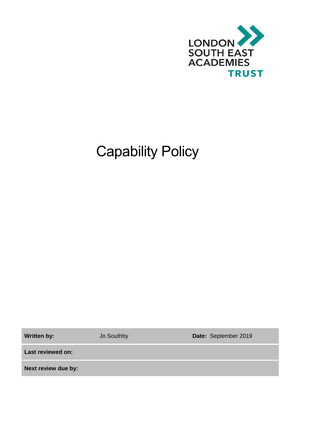

# Capability Policy

**Written by:** Jo Southby **Date:** September 2019

**Last reviewed on:**

**Next review due by:**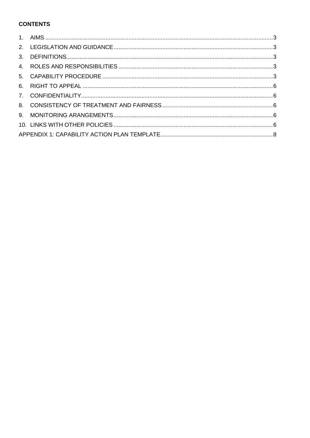# **CONTENTS**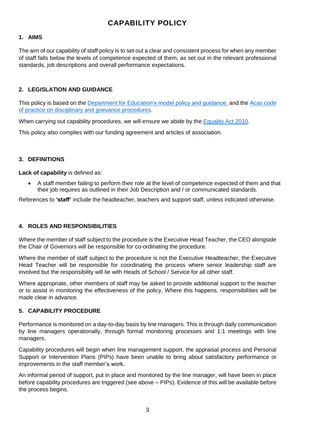# **CAPABILITY POLICY**

## <span id="page-2-0"></span>**1. AIMS**

The aim of our capability of staff policy is to set out a clear and consistent process for when any member of staff falls below the levels of competence expected of them, as set out in the relevant professional standards, job descriptions and overall performance expectations.

# <span id="page-2-1"></span>**2. LEGISLATION AND GUIDANCE**

This policy is based on the [Department for Education's model policy and guidance,](https://www.gov.uk/government/uploads/system/uploads/attachment_data/file/282598/Teacher_appraisal_and_capability.pdf) and the [Acas code](http://www.acas.org.uk/media/pdf/f/m/Acas-Code-of-Practice-1-on-disciplinary-and-grievance-procedures.pdf)  [of practice on disciplinary and grievance procedures.](http://www.acas.org.uk/media/pdf/f/m/Acas-Code-of-Practice-1-on-disciplinary-and-grievance-procedures.pdf)

When carrying out capability procedures, we will ensure we abide by the [Equality Act 2010.](http://www.legislation.gov.uk/ukpga/2010/15/contents?)

This policy also complies with our funding agreement and articles of association.

## <span id="page-2-2"></span>**3. DEFINITIONS**

**Lack of capability** is defined as:

• A staff member failing to perform their role at the level of competence expected of them and that their job requires as outlined in their Job Description and / or communicated standards.

References to **'staff'** include the headteacher, teachers and support staff, unless indicated otherwise.

## <span id="page-2-3"></span>**4. ROLES AND RESPONSIBILITIES**

Where the member of staff subject to the procedure is the Executive Head Teacher, the CEO alongside the Chair of Governors will be responsible for co-ordinating the procedure.

Where the member of staff subject to the procedure is not the Executive Headteacher, the Executive Head Teacher will be responsible for coordinating the process where senior leadership staff are involved but the responsibility will lie with Heads of School / Service for all other staff.

Where appropriate, other members of staff may be asked to provide additional support to the teacher or to assist in monitoring the effectiveness of the policy. Where this happens, responsibilities will be made clear in advance.

## <span id="page-2-4"></span>**5. CAPABILITY PROCEDURE**

Performance is monitored on a day-to-day basis by line managers. This is through daily communication by line managers operationally, through formal monitoring processes and 1:1 meetings with line managers.

Capability procedures will begin when line management support, the appraisal process and Personal Support or Intervention Plans (PIPs) have been unable to bring about satisfactory performance or improvements in the staff member's work.

An informal period of support, put in place and monitored by the line manager, will have been in place before capability procedures are triggered (see above – PIPs). Evidence of this will be available before the process begins.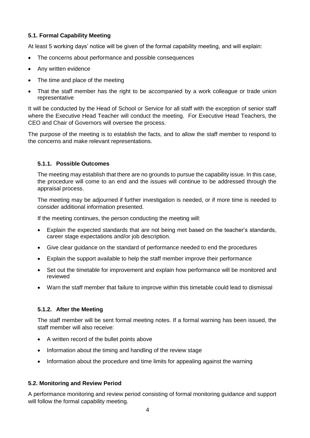# **5.1. Formal Capability Meeting**

At least 5 working days' notice will be given of the formal capability meeting, and will explain:

- The concerns about performance and possible consequences
- Any written evidence
- The time and place of the meeting
- That the staff member has the right to be accompanied by a work colleague or trade union representative

It will be conducted by the Head of School or Service for all staff with the exception of senior staff where the Executive Head Teacher will conduct the meeting. For Executive Head Teachers, the CEO and Chair of Governors will oversee the process.

The purpose of the meeting is to establish the facts, and to allow the staff member to respond to the concerns and make relevant representations.

#### **5.1.1. Possible Outcomes**

The meeting may establish that there are no grounds to pursue the capability issue. In this case, the procedure will come to an end and the issues will continue to be addressed through the appraisal process.

The meeting may be adjourned if further investigation is needed, or if more time is needed to consider additional information presented.

If the meeting continues, the person conducting the meeting will:

- Explain the expected standards that are not being met based on the teacher's standards, career stage expectations and/or job description.
- Give clear guidance on the standard of performance needed to end the procedures
- Explain the support available to help the staff member improve their performance
- Set out the timetable for improvement and explain how performance will be monitored and reviewed
- Warn the staff member that failure to improve within this timetable could lead to dismissal

#### **5.1.2. After the Meeting**

The staff member will be sent formal meeting notes. If a formal warning has been issued, the staff member will also receive:

- A written record of the bullet points above
- Information about the timing and handling of the review stage
- Information about the procedure and time limits for appealing against the warning

## **5.2. Monitoring and Review Period**

A performance monitoring and review period consisting of formal monitoring guidance and support will follow the formal capability meeting.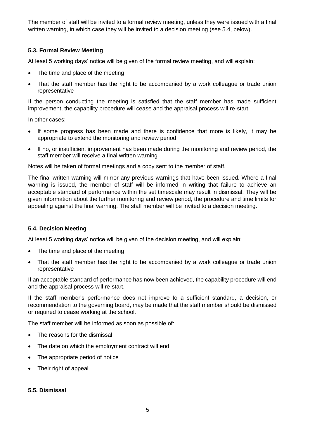The member of staff will be invited to a formal review meeting, unless they were issued with a final written warning, in which case they will be invited to a decision meeting (see 5.4, below).

## **5.3. Formal Review Meeting**

At least 5 working days' notice will be given of the formal review meeting, and will explain:

- The time and place of the meeting
- That the staff member has the right to be accompanied by a work colleague or trade union representative

If the person conducting the meeting is satisfied that the staff member has made sufficient improvement, the capability procedure will cease and the appraisal process will re-start.

In other cases:

- If some progress has been made and there is confidence that more is likely, it may be appropriate to extend the monitoring and review period
- If no, or insufficient improvement has been made during the monitoring and review period, the staff member will receive a final written warning

Notes will be taken of formal meetings and a copy sent to the member of staff.

The final written warning will mirror any previous warnings that have been issued. Where a final warning is issued, the member of staff will be informed in writing that failure to achieve an acceptable standard of performance within the set timescale may result in dismissal. They will be given information about the further monitoring and review period, the procedure and time limits for appealing against the final warning. The staff member will be invited to a decision meeting.

## **5.4. Decision Meeting**

At least 5 working days' notice will be given of the decision meeting, and will explain:

- The time and place of the meeting
- That the staff member has the right to be accompanied by a work colleague or trade union representative

If an acceptable standard of performance has now been achieved, the capability procedure will end and the appraisal process will re-start.

If the staff member's performance does not improve to a sufficient standard, a decision, or recommendation to the governing board, may be made that the staff member should be dismissed or required to cease working at the school.

The staff member will be informed as soon as possible of:

- The reasons for the dismissal
- The date on which the employment contract will end
- The appropriate period of notice
- Their right of appeal

#### **5.5. Dismissal**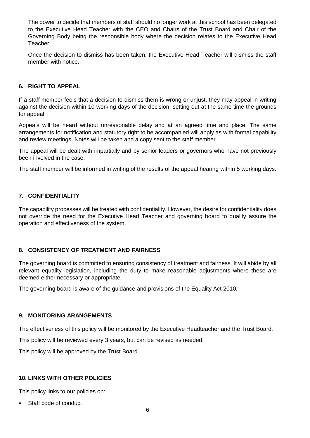The power to decide that members of staff should no longer work at this school has been delegated to the Executive Head Teacher with the CEO and Chairs of the Trust Board and Chair of the Governing Body being the responsible body where the decision relates to the Executive Head Teacher.

Once the decision to dismiss has been taken, the Executive Head Teacher will dismiss the staff member with notice.

#### <span id="page-5-0"></span>**6. RIGHT TO APPEAL**

If a staff member feels that a decision to dismiss them is wrong or unjust, they may appeal in writing against the decision within 10 working days of the decision, setting out at the same time the grounds for appeal.

Appeals will be heard without unreasonable delay and at an agreed time and place. The same arrangements for notification and statutory right to be accompanied will apply as with formal capability and review meetings. Notes will be taken and a copy sent to the staff member.

The appeal will be dealt with impartially and by senior leaders or governors who have not previously been involved in the case.

The staff member will be informed in writing of the results of the appeal hearing within 5 working days.

#### <span id="page-5-1"></span>**7. CONFIDENTIALITY**

The capability processes will be treated with confidentiality. However, the desire for confidentiality does not override the need for the Executive Head Teacher and governing board to quality assure the operation and effectiveness of the system.

#### <span id="page-5-2"></span>**8. CONSISTENCY OF TREATMENT AND FAIRNESS**

The governing board is committed to ensuring consistency of treatment and fairness. It will abide by all relevant equality legislation, including the duty to make reasonable adjustments where these are deemed either necessary or appropriate.

The governing board is aware of the guidance and provisions of the Equality Act 2010.

#### <span id="page-5-3"></span>**9. MONITORING ARANGEMENTS**

The effectiveness of this policy will be monitored by the Executive Headteacher and the Trust Board.

This policy will be reviewed every 3 years, but can be revised as needed.

This policy will be approved by the Trust Board.

#### <span id="page-5-4"></span>**10. LINKS WITH OTHER POLICIES**

This policy links to our policies on:

Staff code of conduct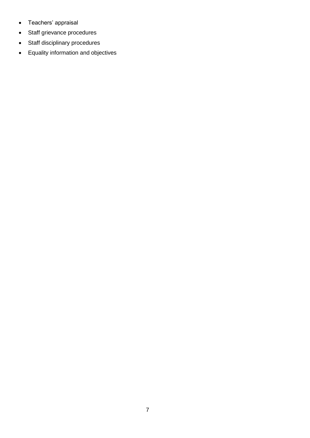- Teachers' appraisal
- Staff grievance procedures
- Staff disciplinary procedures
- Equality information and objectives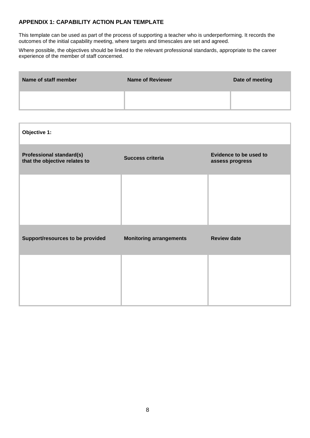#### <span id="page-7-0"></span>**APPENDIX 1: CAPABILITY ACTION PLAN TEMPLATE**

This template can be used as part of the process of supporting a teacher who is underperforming. It records the outcomes of the initial capability meeting, where targets and timescales are set and agreed.

Where possible, the objectives should be linked to the relevant professional standards, appropriate to the career experience of the member of staff concerned.

| Name of staff member | Name of Reviewer | Date of meeting |
|----------------------|------------------|-----------------|
|                      |                  |                 |

| Objective 1:                                                     |                                |                                                  |
|------------------------------------------------------------------|--------------------------------|--------------------------------------------------|
| <b>Professional standard(s)</b><br>that the objective relates to | <b>Success criteria</b>        | <b>Evidence to be used to</b><br>assess progress |
|                                                                  |                                |                                                  |
|                                                                  |                                |                                                  |
| Support/resources to be provided                                 | <b>Monitoring arrangements</b> | <b>Review date</b>                               |
|                                                                  |                                |                                                  |
|                                                                  |                                |                                                  |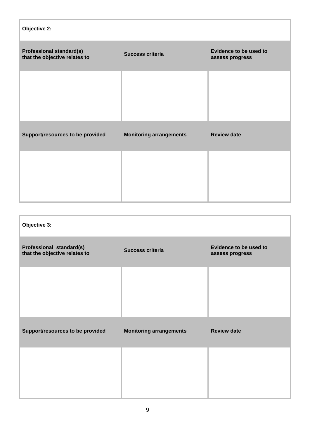| Objective 2:                                                     |                                |                                           |
|------------------------------------------------------------------|--------------------------------|-------------------------------------------|
| <b>Professional standard(s)</b><br>that the objective relates to | <b>Success criteria</b>        | Evidence to be used to<br>assess progress |
|                                                                  |                                |                                           |
|                                                                  |                                |                                           |
| Support/resources to be provided                                 | <b>Monitoring arrangements</b> | <b>Review date</b>                        |
|                                                                  |                                |                                           |
|                                                                  |                                |                                           |

| Objective 3:                                              |                                |                                           |
|-----------------------------------------------------------|--------------------------------|-------------------------------------------|
| Professional standard(s)<br>that the objective relates to | <b>Success criteria</b>        | Evidence to be used to<br>assess progress |
|                                                           |                                |                                           |
|                                                           |                                |                                           |
| Support/resources to be provided                          | <b>Monitoring arrangements</b> | <b>Review date</b>                        |
|                                                           |                                |                                           |
|                                                           |                                |                                           |